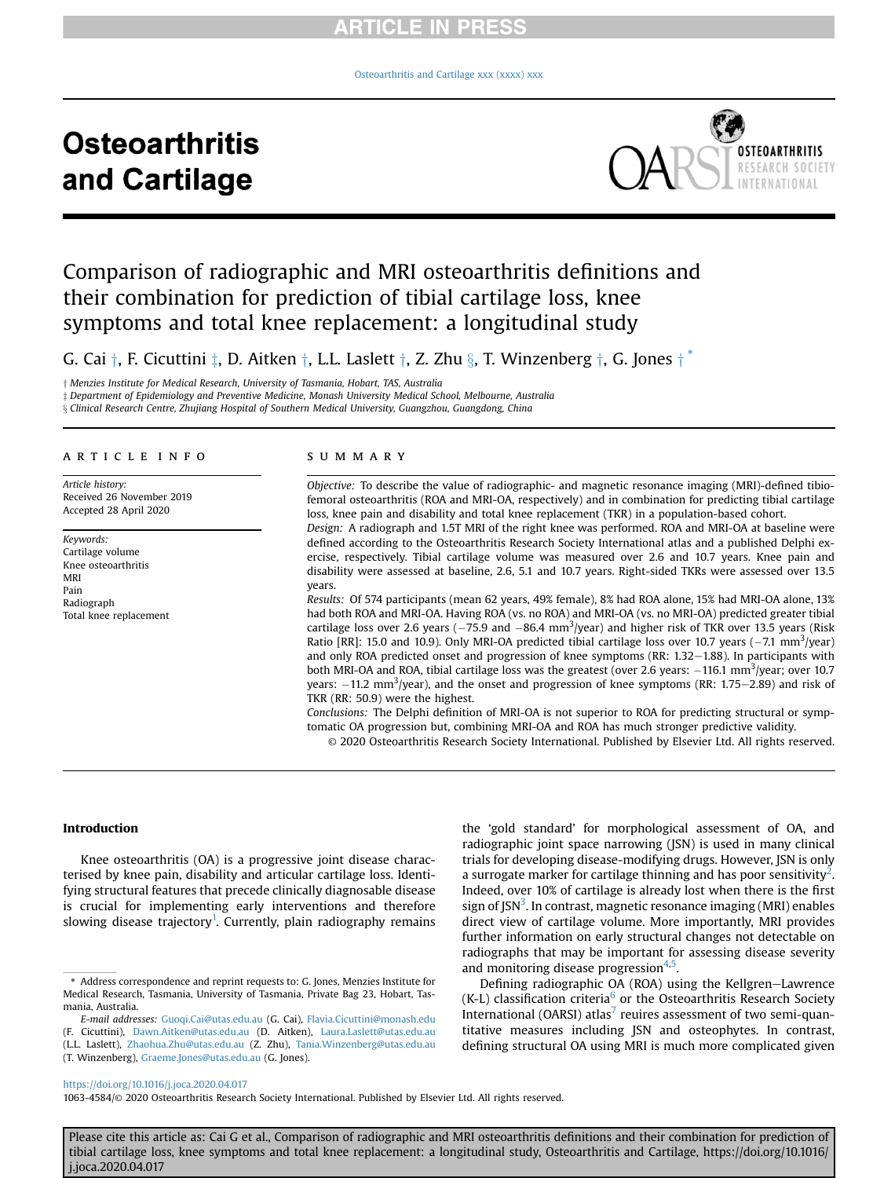[Osteoarthritis and Cartilage xxx \(xxxx\) xxx](https://doi.org/10.1016/j.joca.2020.04.017)

# **Osteoarthritis** and Cartilage



# Comparison of radiographic and MRI osteoarthritis definitions and their combination for prediction of tibial cartilage loss, knee symptoms and total knee replacement: a longitudinal study

G. Cai  $\dagger$ , F. Cicuttini  $\ddagger$ , D. Aitken  $\dagger$ , L.L. Laslett  $\dagger$ , Z. Zhu  $\S$ , T. Winzenberg  $\dagger$ , G. Jones  $\dagger$ <sup>[\\*](#page-0-0)</sup>

y Menzies Institute for Medical Research, University of Tasmania, Hobart, TAS, Australia

z Department of Epidemiology and Preventive Medicine, Monash University Medical School, Melbourne, Australia

x Clinical Research Centre, Zhujiang Hospital of Southern Medical University, Guangzhou, Guangdong, China

#### article info

Article history: Received 26 November 2019 Accepted 28 April 2020

Keywords: Cartilage volume Knee osteoarthritis MRI Pain Radiograph Total knee replacement

#### summary

Objective: To describe the value of radiographic- and magnetic resonance imaging (MRI)-defined tibiofemoral osteoarthritis (ROA and MRI-OA, respectively) and in combination for predicting tibial cartilage loss, knee pain and disability and total knee replacement (TKR) in a population-based cohort.

Design: A radiograph and 1.5T MRI of the right knee was performed. ROA and MRI-OA at baseline were defined according to the Osteoarthritis Research Society International atlas and a published Delphi exercise, respectively. Tibial cartilage volume was measured over 2.6 and 10.7 years. Knee pain and disability were assessed at baseline, 2.6, 5.1 and 10.7 years. Right-sided TKRs were assessed over 13.5 years.

Results: Of 574 participants (mean 62 years, 49% female), 8% had ROA alone, 15% had MRI-OA alone, 13% had both ROA and MRI-OA. Having ROA (vs. no ROA) and MRI-OA (vs. no MRI-OA) predicted greater tibial cartilage loss over 2.6 years ( $-75.9$  and  $-86.4$  mm<sup>3</sup>/year) and higher risk of TKR over 13.5 years (Risk Ratio [RR]: 15.0 and 10.9). Only MRI-OA predicted tibial cartilage loss over 10.7 years  $(-7.1 \text{ mm}^3/\text{year})$ and only ROA predicted onset and progression of knee symptoms (RR:  $1.32-1.88$ ). In participants with both MRI-OA and ROA, tibial cartilage loss was the greatest (over 2.6 years:  $-116.1 \text{ mm}^3/\text{year}$ ; over 10.7 years:  $-11.2 \text{ mm}^3/\text{year}$ ), and the onset and progression of knee symptoms (RR: 1.75–2.89) and risk of TKR (RR: 50.9) were the highest.

Conclusions: The Delphi definition of MRI-OA is not superior to ROA for predicting structural or symptomatic OA progression but, combining MRI-OA and ROA has much stronger predictive validity.

© 2020 Osteoarthritis Research Society International. Published by Elsevier Ltd. All rights reserved.

#### Introduction

Knee osteoarthritis (OA) is a progressive joint disease characterised by knee pain, disability and articular cartilage loss. Identifying structural features that precede clinically diagnosable disease is crucial for implementing early interventions and therefore slowing disease trajectory<sup>[1](#page-7-0)</sup>. Currently, plain radiography remains

(T. Winzenberg), [Graeme.Jones@utas.edu.au](mailto:Graeme.Jones@utas.edu.au) (G. Jones).

the 'gold standard' for morphological assessment of OA, and radiographic joint space narrowing (JSN) is used in many clinical trials for developing disease-modifying drugs. However, JSN is only a surrogate marker for cartilage thinning and has poor sensitivity<sup>[2](#page-7-1)</sup>. Indeed, over 10% of cartilage is already lost when there is the first sign of JSN<sup>[3](#page-7-2)</sup>. In contrast, magnetic resonance imaging (MRI) enables direct view of cartilage volume. More importantly, MRI provides further information on early structural changes not detectable on radiographs that may be important for assessing disease severity and monitoring disease progression<sup>4[,5](#page-7-4)</sup>.

Defining radiographic OA (ROA) using the Kellgren-Lawrence  $(K-L)$  classification criteria<sup>[6](#page-7-5)</sup> or the Osteoarthritis Research Society International (OARSI) atlas<sup>[7](#page-7-6)</sup> reuires assessment of two semi-quantitative measures including JSN and osteophytes. In contrast, defining structural OA using MRI is much more complicated given

<https://doi.org/10.1016/j.joca.2020.04.017>

1063-4584/© 2020 Osteoarthritis Research Society International. Published by Elsevier Ltd. All rights reserved.

<span id="page-0-0"></span><sup>\*</sup> Address correspondence and reprint requests to: G. Jones, Menzies Institute for Medical Research, Tasmania, University of Tasmania, Private Bag 23, Hobart, Tasmania, Australia.

E-mail addresses: [Guoqi.Cai@utas.edu.au](mailto:Guoqi.Cai@utas.edu.au) (G. Cai), [Flavia.Cicuttini@monash.edu](mailto:Flavia.Cicuttini@monash.edu) (F. Cicuttini), [Dawn.Aitken@utas.edu.au](mailto:Dawn.Aitken@utas.edu.au) (D. Aitken), [Laura.Laslett@utas.edu.au](mailto:Laura.Laslett@utas.edu.au) (L.L. Laslett), [Zhaohua.Zhu@utas.edu.au](mailto:Zhaohua.Zhu@utas.edu.au) (Z. Zhu), [Tania.Winzenberg@utas.edu.au](mailto:Tania.Winzenberg@utas.edu.au)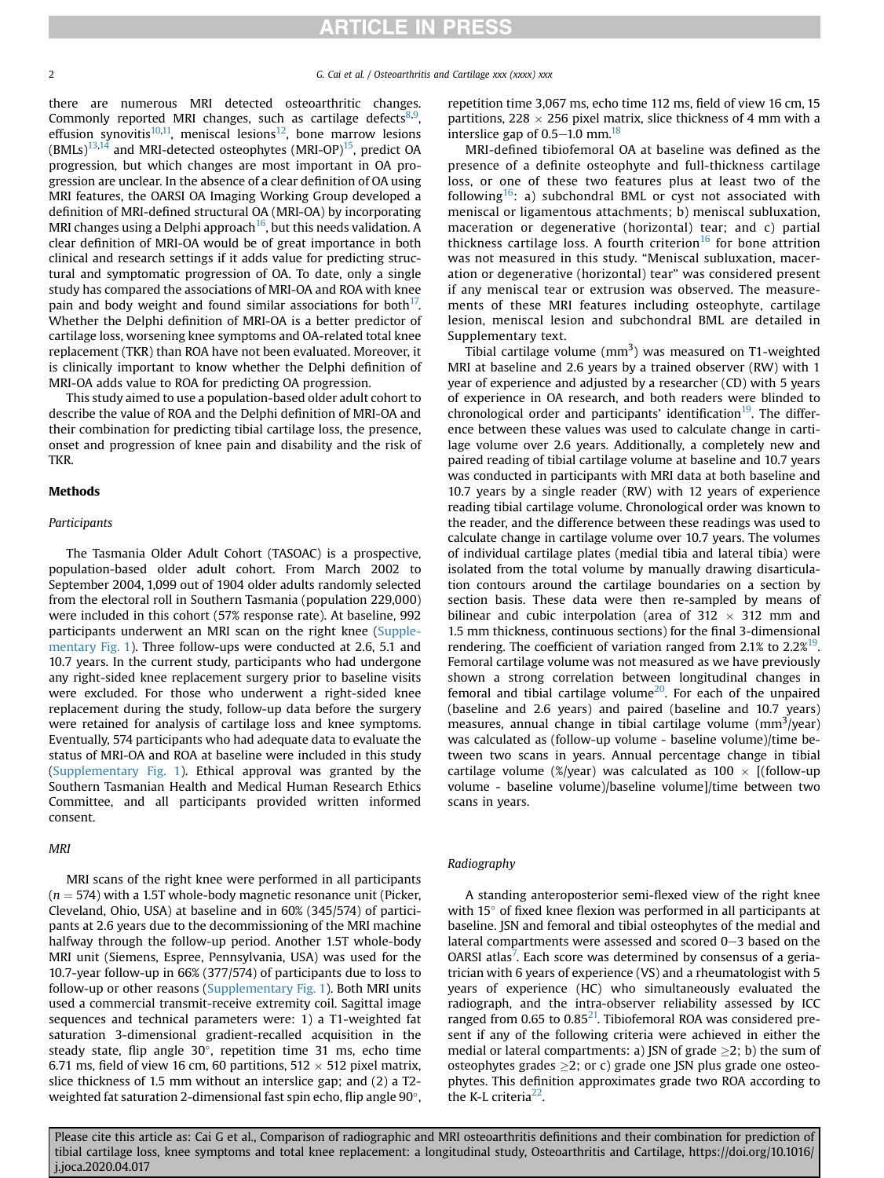there are numerous MRI detected osteoarthritic changes. Commonly reported MRI changes, such as cartilage defects<sup>8[,9](#page-7-8)</sup>, effusion synovitis<sup>10,11</sup>, meniscal lesions<sup>12</sup>, bone marrow lesions  $(BMLs)^{13,14}$  $(BMLs)^{13,14}$  $(BMLs)^{13,14}$  and MRI-detected osteophytes (MRI-OP)<sup>15</sup>, predict OA progression, but which changes are most important in OA progression are unclear. In the absence of a clear definition of OA using MRI features, the OARSI OA Imaging Working Group developed a definition of MRI-defined structural OA (MRI-OA) by incorporating MRI changes using a Delphi approach<sup>16</sup>, but this needs validation. A clear definition of MRI-OA would be of great importance in both clinical and research settings if it adds value for predicting structural and symptomatic progression of OA. To date, only a single study has compared the associations of MRI-OA and ROA with knee pain and body weight and found similar associations for both $17$ . Whether the Delphi definition of MRI-OA is a better predictor of cartilage loss, worsening knee symptoms and OA-related total knee replacement (TKR) than ROA have not been evaluated. Moreover, it is clinically important to know whether the Delphi definition of MRI-OA adds value to ROA for predicting OA progression.

This study aimed to use a population-based older adult cohort to describe the value of ROA and the Delphi definition of MRI-OA and their combination for predicting tibial cartilage loss, the presence, onset and progression of knee pain and disability and the risk of TKR.

### Methods

#### Participants

The Tasmania Older Adult Cohort (TASOAC) is a prospective, population-based older adult cohort. From March 2002 to September 2004, 1,099 out of 1904 older adults randomly selected from the electoral roll in Southern Tasmania (population 229,000) were included in this cohort (57% response rate). At baseline, 992 participants underwent an MRI scan on the right knee (Supplementary Fig. 1). Three follow-ups were conducted at 2.6, 5.1 and 10.7 years. In the current study, participants who had undergone any right-sided knee replacement surgery prior to baseline visits were excluded. For those who underwent a right-sided knee replacement during the study, follow-up data before the surgery were retained for analysis of cartilage loss and knee symptoms. Eventually, 574 participants who had adequate data to evaluate the status of MRI-OA and ROA at baseline were included in this study (Supplementary Fig. 1). Ethical approval was granted by the Southern Tasmanian Health and Medical Human Research Ethics Committee, and all participants provided written informed consent.

#### MRI

MRI scans of the right knee were performed in all participants  $(n = 574)$  with a 1.5T whole-body magnetic resonance unit (Picker, Cleveland, Ohio, USA) at baseline and in 60% (345/574) of participants at 2.6 years due to the decommissioning of the MRI machine halfway through the follow-up period. Another 1.5T whole-body MRI unit (Siemens, Espree, Pennsylvania, USA) was used for the 10.7-year follow-up in 66% (377/574) of participants due to loss to follow-up or other reasons (Supplementary Fig. 1). Both MRI units used a commercial transmit-receive extremity coil. Sagittal image sequences and technical parameters were: 1) a T1-weighted fat saturation 3-dimensional gradient-recalled acquisition in the steady state, flip angle  $30^\circ$ , repetition time 31 ms, echo time 6.71 ms, field of view 16 cm, 60 partitions,  $512 \times 512$  pixel matrix, slice thickness of 1.5 mm without an interslice gap; and (2) a T2 weighted fat saturation 2-dimensional fast spin echo, flip angle  $90^{\circ}$ , repetition time 3,067 ms, echo time 112 ms, field of view 16 cm, 15 partitions, 228  $\times$  256 pixel matrix, slice thickness of 4 mm with a interslice gap of  $0.5-1.0$  mm.<sup>18</sup>

MRI-defined tibiofemoral OA at baseline was defined as the presence of a definite osteophyte and full-thickness cartilage loss, or one of these two features plus at least two of the following<sup>[16](#page-7-15)</sup>: a) subchondral BML or cyst not associated with meniscal or ligamentous attachments; b) meniscal subluxation, maceration or degenerative (horizontal) tear; and c) partial thickness cartilage loss. A fourth criterion<sup>[16](#page-7-15)</sup> for bone attrition was not measured in this study. "Meniscal subluxation, maceration or degenerative (horizontal) tear" was considered present if any meniscal tear or extrusion was observed. The measurements of these MRI features including osteophyte, cartilage lesion, meniscal lesion and subchondral BML are detailed in Supplementary text.

Tibial cartilage volume  $(mm<sup>3</sup>)$  was measured on T1-weighted MRI at baseline and 2.6 years by a trained observer (RW) with 1 year of experience and adjusted by a researcher (CD) with 5 years of experience in OA research, and both readers were blinded to chronological order and participants' identification<sup>[19](#page-7-18)</sup>. The difference between these values was used to calculate change in cartilage volume over 2.6 years. Additionally, a completely new and paired reading of tibial cartilage volume at baseline and 10.7 years was conducted in participants with MRI data at both baseline and 10.7 years by a single reader (RW) with 12 years of experience reading tibial cartilage volume. Chronological order was known to the reader, and the difference between these readings was used to calculate change in cartilage volume over 10.7 years. The volumes of individual cartilage plates (medial tibia and lateral tibia) were isolated from the total volume by manually drawing disarticulation contours around the cartilage boundaries on a section by section basis. These data were then re-sampled by means of bilinear and cubic interpolation (area of 312  $\times$  312 mm and 1.5 mm thickness, continuous sections) for the final 3-dimensional rendering. The coefficient of variation ranged from 2.1% to  $2.2\%$ <sup>19</sup>. Femoral cartilage volume was not measured as we have previously shown a strong correlation between longitudinal changes in femoral and tibial cartilage volume<sup>20</sup>. For each of the unpaired (baseline and 2.6 years) and paired (baseline and 10.7 years) measures, annual change in tibial cartilage volume  $\text{(mm}^3\text{/year)}$ was calculated as (follow-up volume - baseline volume)/time between two scans in years. Annual percentage change in tibial cartilage volume (%/year) was calculated as  $100 \times$  [(follow-up volume - baseline volume)/baseline volume]/time between two scans in years.

#### Radiography

A standing anteroposterior semi-flexed view of the right knee with  $15^{\circ}$  of fixed knee flexion was performed in all participants at baseline. JSN and femoral and tibial osteophytes of the medial and lateral compartments were assessed and scored  $0-3$  based on the OARSI atlas<sup>[7](#page-7-6)</sup>. Each score was determined by consensus of a geriatrician with 6 years of experience (VS) and a rheumatologist with 5 years of experience (HC) who simultaneously evaluated the radiograph, and the intra-observer reliability assessed by ICC ranged from 0.65 to  $0.85^{21}$ . Tibiofemoral ROA was considered present if any of the following criteria were achieved in either the medial or lateral compartments: a) JSN of grade  $\geq$ 2; b) the sum of osteophytes grades  $\geq$ 2; or c) grade one JSN plus grade one osteophytes. This definition approximates grade two ROA according to the K-L criteria $^{22}$  $^{22}$  $^{22}$ .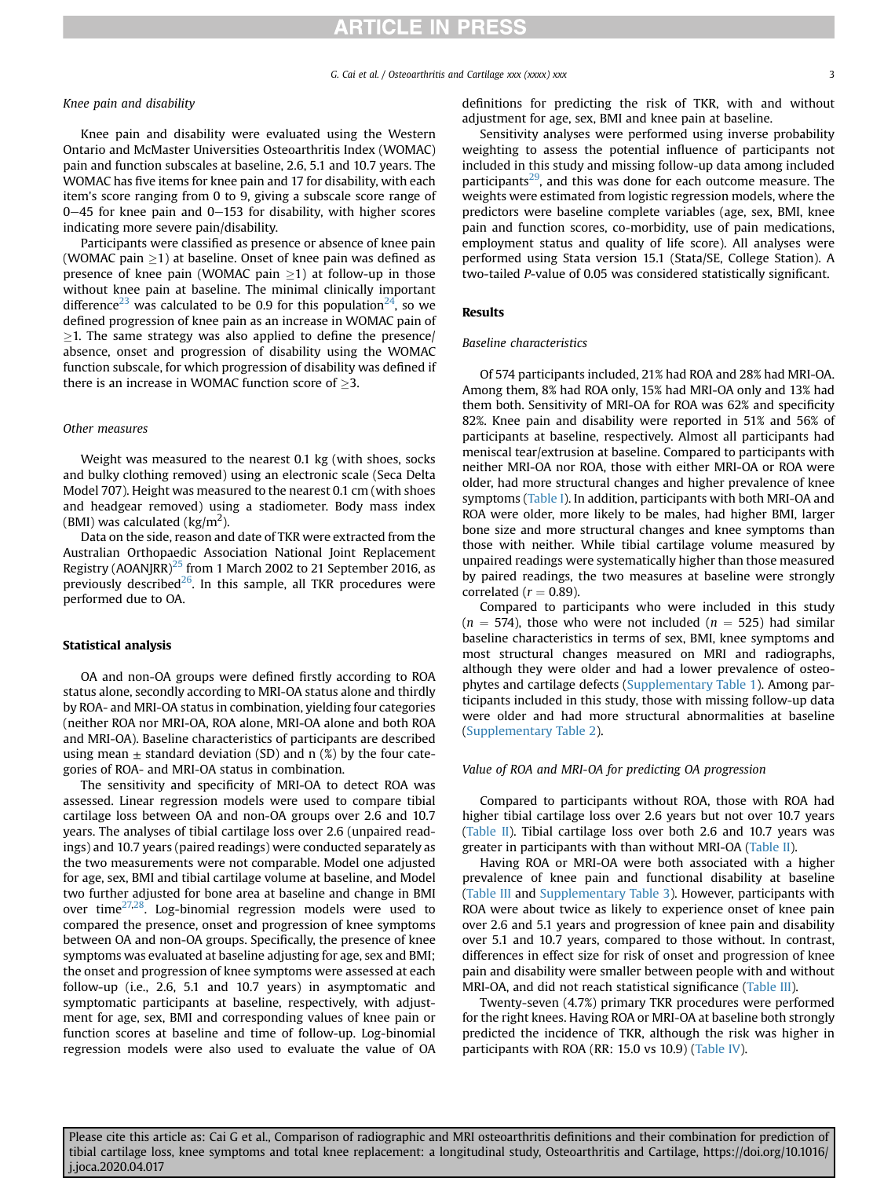G. Cai et al. / Osteoarthritis and Cartilage xxx (xxxx) xxx 3

#### Knee pain and disability

Knee pain and disability were evaluated using the Western Ontario and McMaster Universities Osteoarthritis Index (WOMAC) pain and function subscales at baseline, 2.6, 5.1 and 10.7 years. The WOMAC has five items for knee pain and 17 for disability, with each item's score ranging from 0 to 9, giving a subscale score range of  $0-45$  for knee pain and  $0-153$  for disability, with higher scores indicating more severe pain/disability.

Participants were classified as presence or absence of knee pain (WOMAC pain  $>1$ ) at baseline. Onset of knee pain was defined as presence of knee pain (WOMAC pain  $>1$ ) at follow-up in those without knee pain at baseline. The minimal clinically important difference<sup>[23](#page-7-22)</sup> was calculated to be 0.9 for this population<sup>[24](#page-7-23)</sup>, so we defined progression of knee pain as an increase in WOMAC pain of  $>$ 1. The same strategy was also applied to define the presence/ absence, onset and progression of disability using the WOMAC function subscale, for which progression of disability was defined if there is an increase in WOMAC function score of  $\geq$ 3.

#### Other measures

Weight was measured to the nearest 0.1 kg (with shoes, socks and bulky clothing removed) using an electronic scale (Seca Delta Model 707). Height was measured to the nearest 0.1 cm (with shoes and headgear removed) using a stadiometer. Body mass index (BMI) was calculated (kg/m<sup>2</sup>).

Data on the side, reason and date of TKR were extracted from the Australian Orthopaedic Association National Joint Replacement Registry (AOANJRR)<sup>25</sup> from 1 March 2002 to 21 September 2016, as previously described $^{26}$ . In this sample, all TKR procedures were performed due to OA.

#### Statistical analysis

OA and non-OA groups were defined firstly according to ROA status alone, secondly according to MRI-OA status alone and thirdly by ROA- and MRI-OA status in combination, yielding four categories (neither ROA nor MRI-OA, ROA alone, MRI-OA alone and both ROA and MRI-OA). Baseline characteristics of participants are described using mean  $\pm$  standard deviation (SD) and n (%) by the four categories of ROA- and MRI-OA status in combination.

The sensitivity and specificity of MRI-OA to detect ROA was assessed. Linear regression models were used to compare tibial cartilage loss between OA and non-OA groups over 2.6 and 10.7 years. The analyses of tibial cartilage loss over 2.6 (unpaired readings) and 10.7 years (paired readings) were conducted separately as the two measurements were not comparable. Model one adjusted for age, sex, BMI and tibial cartilage volume at baseline, and Model two further adjusted for bone area at baseline and change in BMI over time[27,](#page-7-26)[28](#page-7-27). Log-binomial regression models were used to compared the presence, onset and progression of knee symptoms between OA and non-OA groups. Specifically, the presence of knee symptoms was evaluated at baseline adjusting for age, sex and BMI; the onset and progression of knee symptoms were assessed at each follow-up (i.e., 2.6, 5.1 and 10.7 years) in asymptomatic and symptomatic participants at baseline, respectively, with adjustment for age, sex, BMI and corresponding values of knee pain or function scores at baseline and time of follow-up. Log-binomial regression models were also used to evaluate the value of OA definitions for predicting the risk of TKR, with and without adjustment for age, sex, BMI and knee pain at baseline.

Sensitivity analyses were performed using inverse probability weighting to assess the potential influence of participants not included in this study and missing follow-up data among included participants<sup>29</sup>, and this was done for each outcome measure. The weights were estimated from logistic regression models, where the predictors were baseline complete variables (age, sex, BMI, knee pain and function scores, co-morbidity, use of pain medications, employment status and quality of life score). All analyses were performed using Stata version 15.1 (Stata/SE, College Station). A two-tailed P-value of 0.05 was considered statistically significant.

#### Results

#### Baseline characteristics

Of 574 participants included, 21% had ROA and 28% had MRI-OA. Among them, 8% had ROA only, 15% had MRI-OA only and 13% had them both. Sensitivity of MRI-OA for ROA was 62% and specificity 82%. Knee pain and disability were reported in 51% and 56% of participants at baseline, respectively. Almost all participants had meniscal tear/extrusion at baseline. Compared to participants with neither MRI-OA nor ROA, those with either MRI-OA or ROA were older, had more structural changes and higher prevalence of knee symptoms ([Table I\)](#page-3-0). In addition, participants with both MRI-OA and ROA were older, more likely to be males, had higher BMI, larger bone size and more structural changes and knee symptoms than those with neither. While tibial cartilage volume measured by unpaired readings were systematically higher than those measured by paired readings, the two measures at baseline were strongly correlated ( $r = 0.89$ ).

Compared to participants who were included in this study  $(n = 574)$ , those who were not included  $(n = 525)$  had similar baseline characteristics in terms of sex, BMI, knee symptoms and most structural changes measured on MRI and radiographs, although they were older and had a lower prevalence of osteophytes and cartilage defects (Supplementary Table 1). Among participants included in this study, those with missing follow-up data were older and had more structural abnormalities at baseline (Supplementary Table 2).

#### Value of ROA and MRI-OA for predicting OA progression

Compared to participants without ROA, those with ROA had higher tibial cartilage loss over 2.6 years but not over 10.7 years ([Table II](#page-3-1)). Tibial cartilage loss over both 2.6 and 10.7 years was greater in participants with than without MRI-OA [\(Table II\)](#page-3-1).

Having ROA or MRI-OA were both associated with a higher prevalence of knee pain and functional disability at baseline ([Table III](#page-4-0) and Supplementary Table 3). However, participants with ROA were about twice as likely to experience onset of knee pain over 2.6 and 5.1 years and progression of knee pain and disability over 5.1 and 10.7 years, compared to those without. In contrast, differences in effect size for risk of onset and progression of knee pain and disability were smaller between people with and without MRI-OA, and did not reach statistical significance [\(Table III](#page-4-0)).

Twenty-seven (4.7%) primary TKR procedures were performed for the right knees. Having ROA or MRI-OA at baseline both strongly predicted the incidence of TKR, although the risk was higher in participants with ROA (RR: 15.0 vs 10.9) ([Table IV\)](#page-5-0).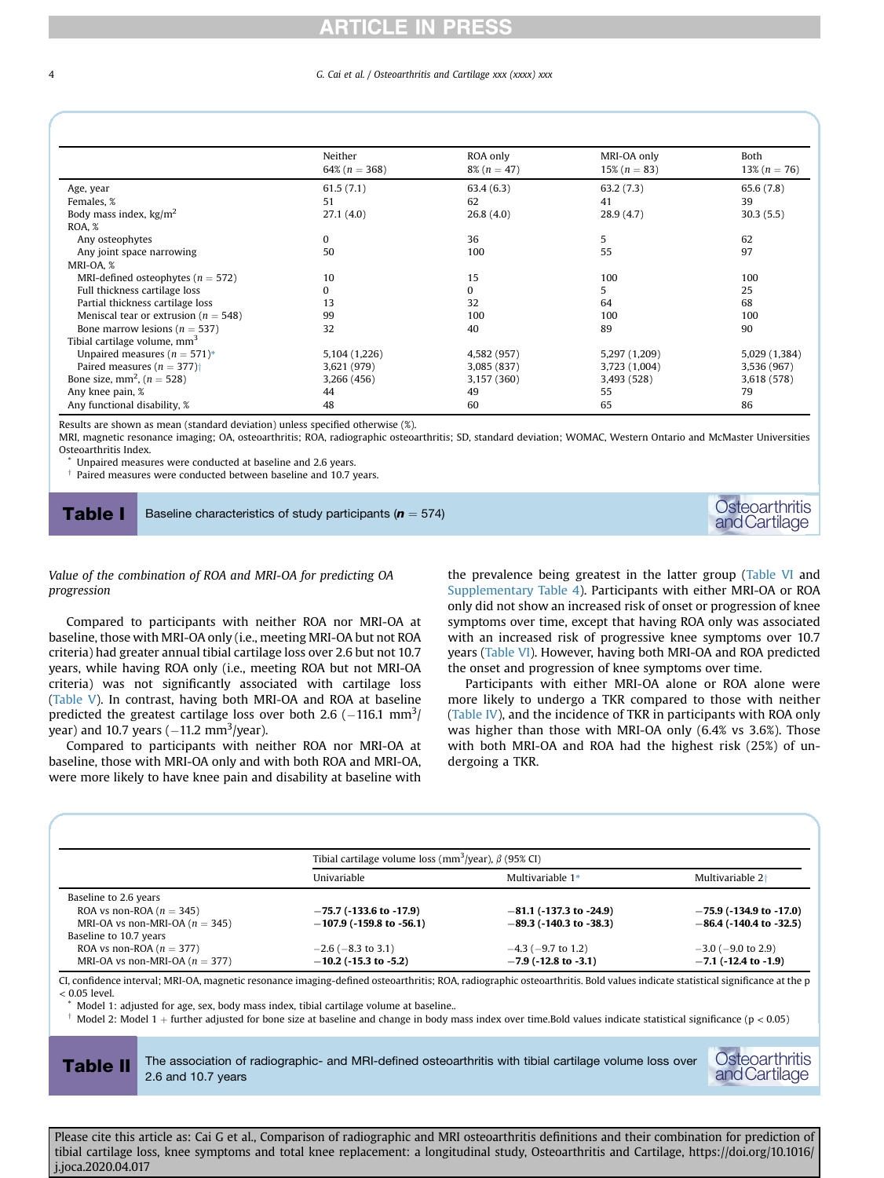#### 4 G. Cai et al. / Osteoarthritis and Cartilage xxx (xxxx) xxx

<span id="page-3-0"></span>

|                                            | Neither<br>64% $(n = 368)$ | ROA only<br>$8\% (n = 47)$ | MRI-OA only<br>$15\% (n = 83)$ | Both<br>$13\% (n = 76)$ |  |
|--------------------------------------------|----------------------------|----------------------------|--------------------------------|-------------------------|--|
| Age, year                                  | 61.5(7.1)                  | 63.4(6.3)                  | 63.2(7.3)                      | 65.6 (7.8)              |  |
| Females, %                                 | 51                         | 62                         | 41                             | 39                      |  |
| Body mass index, $\text{kg/m}^2$           | 27.1(4.0)                  | 26.8(4.0)                  | 28.9(4.7)                      | 30.3(5.5)               |  |
| ROA, %                                     |                            |                            |                                |                         |  |
| Any osteophytes                            | $\mathbf{0}$               | 36                         | 5                              | 62                      |  |
| Any joint space narrowing                  | 50                         | 100                        | 55                             | 97                      |  |
| MRI-OA, %                                  |                            |                            |                                |                         |  |
| MRI-defined osteophytes ( $n = 572$ )      | 10                         | 15                         | 100                            | 100                     |  |
| Full thickness cartilage loss              | 0                          | $\Omega$                   | 5                              | 25                      |  |
| Partial thickness cartilage loss           | 13                         | 32                         | 64                             | 68                      |  |
| Meniscal tear or extrusion ( $n = 548$ )   | 99                         | 100                        | 100                            | 100                     |  |
| Bone marrow lesions ( $n = 537$ )          | 32                         | 40                         | 89                             | 90                      |  |
| Tibial cartilage volume, mm <sup>3</sup>   |                            |                            |                                |                         |  |
| Unpaired measures ( $n = 571$ )*           | 5,104 (1,226)              | 4,582 (957)                | 5,297 (1,209)                  | 5,029 (1,384)           |  |
| Paired measures ( $n = 377$ ) <sup>+</sup> | 3,621 (979)                | 3,085 (837)                | 3,723 (1,004)                  | 3,536 (967)             |  |
| Bone size, mm <sup>2</sup> , ( $n = 528$ ) | 3,266 (456)                | 3,157 (360)                | 3,493 (528)                    | 3,618 (578)             |  |
| Any knee pain, %                           | 44                         | 49                         | 55                             | 79                      |  |
| Any functional disability, %               | 48                         | 60                         | 65                             | 86                      |  |

Results are shown as mean (standard deviation) unless specified otherwise (%).

MRI, magnetic resonance imaging; OA, osteoarthritis; ROA, radiographic osteoarthritis; SD, standard deviation; WOMAC, Western Ontario and McMaster Universities Osteoarthritis Index.

Unpaired measures were conducted at baseline and 2.6 years.

 $\dagger$  Paired measures were conducted between baseline and 10.7 years.

Table I Baseline characteristics of study participants (<sup>n</sup> <sup>¼</sup> 574) Osteoarthritis

andCartilage

#### Value of the combination of ROA and MRI-OA for predicting OA progression

Compared to participants with neither ROA nor MRI-OA at baseline, those with MRI-OA only (i.e., meeting MRI-OA but not ROA criteria) had greater annual tibial cartilage loss over 2.6 but not 10.7 years, while having ROA only (i.e., meeting ROA but not MRI-OA criteria) was not significantly associated with cartilage loss ([Table V\)](#page-5-1). In contrast, having both MRI-OA and ROA at baseline predicted the greatest cartilage loss over both 2.6  $(-116.1 \text{ mm}^3)$ year) and 10.7 years  $(-11.2 \text{ mm}^3/\text{year})$ .

Compared to participants with neither ROA nor MRI-OA at baseline, those with MRI-OA only and with both ROA and MRI-OA, were more likely to have knee pain and disability at baseline with the prevalence being greatest in the latter group [\(Table VI](#page-6-0) and Supplementary Table 4). Participants with either MRI-OA or ROA only did not show an increased risk of onset or progression of knee symptoms over time, except that having ROA only was associated with an increased risk of progressive knee symptoms over 10.7 years [\(Table VI](#page-6-0)). However, having both MRI-OA and ROA predicted the onset and progression of knee symptoms over time.

Participants with either MRI-OA alone or ROA alone were more likely to undergo a TKR compared to those with neither ([Table IV](#page-5-0)), and the incidence of TKR in participants with ROA only was higher than those with MRI-OA only (6.4% vs 3.6%). Those with both MRI-OA and ROA had the highest risk (25%) of undergoing a TKR.

<span id="page-3-1"></span>

|                                    | Tibial cartilage volume loss (mm <sup>3</sup> /year), $\beta$ (95% CI) |                           |                           |  |  |
|------------------------------------|------------------------------------------------------------------------|---------------------------|---------------------------|--|--|
|                                    | Univariable                                                            | Multivariable 1*          | Multivariable $2+$        |  |  |
| Baseline to 2.6 years              |                                                                        |                           |                           |  |  |
| ROA vs non-ROA ( $n = 345$ )       | $-75.7$ (-133.6 to -17.9)                                              | $-81.1$ (-137.3 to -24.9) | $-75.9$ (-134.9 to -17.0) |  |  |
| MRI-OA vs non-MRI-OA ( $n = 345$ ) | $-107.9$ (-159.8 to -56.1)                                             | $-89.3$ (-140.3 to -38.3) | $-86.4$ (-140.4 to -32.5) |  |  |
| Baseline to 10.7 years             |                                                                        |                           |                           |  |  |
| ROA vs non-ROA ( $n = 377$ )       | $-2.6$ ( $-8.3$ to 3.1)                                                | $-4.3$ ( $-9.7$ to 1.2)   | $-3.0$ ( $-9.0$ to 2.9)   |  |  |
| MRI-OA vs non-MRI-OA ( $n = 377$ ) | $-10.2$ (-15.3 to -5.2)                                                | $-7.9$ (-12.8 to -3.1)    | $-7.1$ (-12.4 to -1.9)    |  |  |

CI, confidence interval; MRI-OA, magnetic resonance imaging-defined osteoarthritis; ROA, radiographic osteoarthritis. Bold values indicate statistical significance at the p < 0.05 level.

Model 1: adjusted for age, sex, body mass index, tibial cartilage volume at baseline..

 $\dagger$  Model 2: Model 1 + further adjusted for bone size at baseline and change in body mass index over time.Bold values indicate statistical significance (p < 0.05)

Table II The association of radiographic- and MRI-defined osteoarthritis with tibial cartilage volume loss over 2.6 and 10.7 years

**Osteoarthritis** andCartilage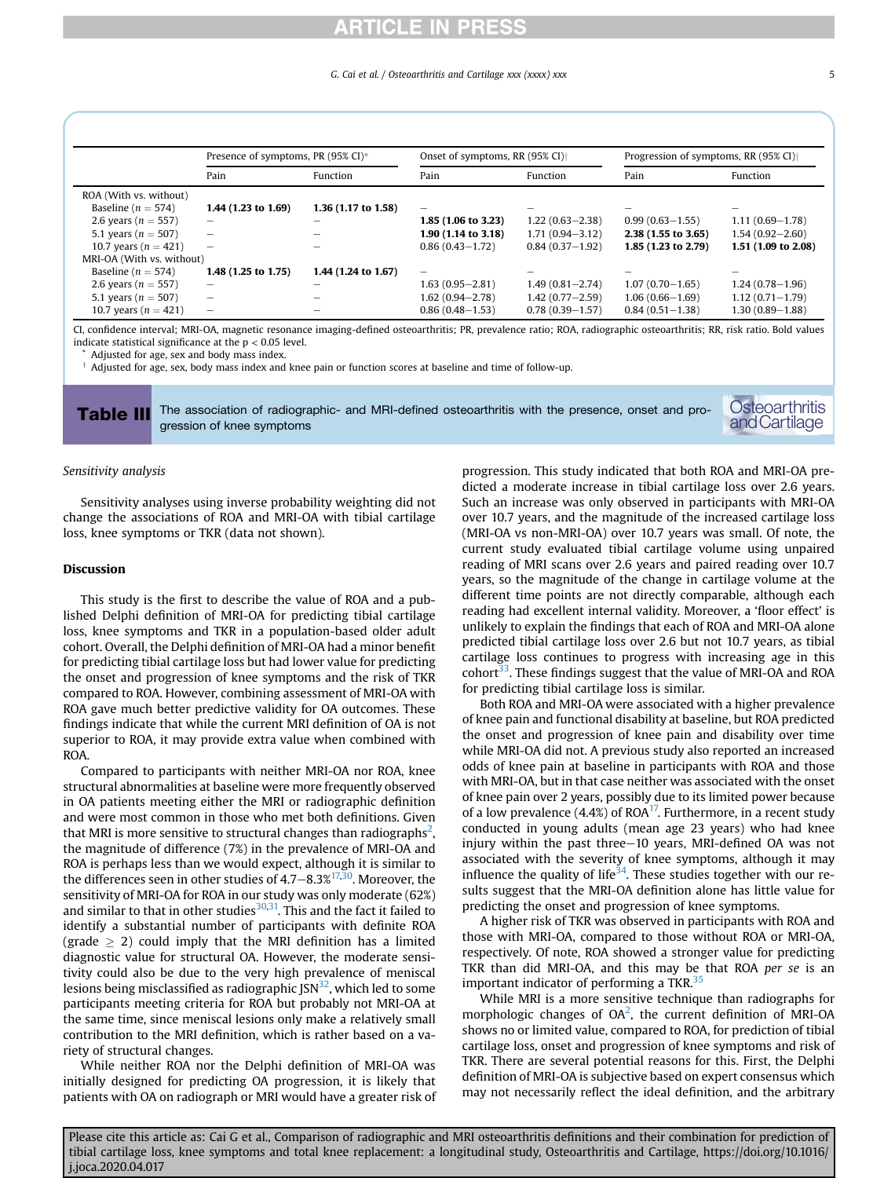#### G. Cai et al. / Osteoarthritis and Cartilage xxx (xxxx) xxx 5

<span id="page-4-0"></span>

|                           | Presence of symptoms, PR $(95\% \text{ CI})^*$ |                     | Onset of symptoms, RR $(95\%$ CI) <sup><math>\dagger</math></sup> |                          | Progression of symptoms, RR (95% CI) <sup>+</sup> |                          |
|---------------------------|------------------------------------------------|---------------------|-------------------------------------------------------------------|--------------------------|---------------------------------------------------|--------------------------|
|                           | Pain                                           | Function            | Pain                                                              | Function                 | Pain                                              | Function                 |
| ROA (With vs. without)    |                                                |                     |                                                                   |                          |                                                   |                          |
| Baseline ( $n = 574$ )    | 1.44 $(1.23 \text{ to } 1.69)$                 | 1.36 (1.17 to 1.58) | $\overline{\phantom{0}}$                                          | $\overline{\phantom{0}}$ |                                                   | $\overline{\phantom{0}}$ |
| 2.6 years ( $n = 557$ )   | -                                              | -                   | $1.85(1.06 \text{ to } 3.23)$                                     | $1,22(0.63 - 2.38)$      | $0.99(0.63 - 1.55)$                               | $1.11(0.69 - 1.78)$      |
| 5.1 years ( $n = 507$ )   |                                                |                     | $1.90(1.14 \text{ to } 3.18)$                                     | $1.71(0.94 - 3.12)$      | $2.38(1.55 \text{ to } 3.65)$                     | $1.54(0.92 - 2.60)$      |
| 10.7 years ( $n = 421$ )  | $\overline{\phantom{m}}$                       |                     | $0.86(0.43 - 1.72)$                                               | $0.84(0.37 - 1.92)$      | 1.85 (1.23 to 2.79)                               | 1.51 (1.09 to 2.08)      |
| MRI-OA (With vs. without) |                                                |                     |                                                                   |                          |                                                   |                          |
| Baseline ( $n = 574$ )    | 1.48 (1.25 to 1.75)                            | 1.44 (1.24 to 1.67) | -                                                                 | -                        |                                                   |                          |
| 2.6 years ( $n = 557$ )   | -                                              | -                   | $1.63(0.95 - 2.81)$                                               | $1.49(0.81 - 2.74)$      | $1.07(0.70 - 1.65)$                               | $1,24(0.78-1.96)$        |
| 5.1 years ( $n = 507$ )   |                                                |                     | $1.62(0.94 - 2.78)$                                               | $1.42(0.77 - 2.59)$      | $1.06(0.66 - 1.69)$                               | $1.12(0.71 - 1.79)$      |
| 10.7 years ( $n = 421$ )  | $\overline{\phantom{0}}$                       |                     | $0.86(0.48 - 1.53)$                                               | $0.78(0.39 - 1.57)$      | $0.84(0.51 - 1.38)$                               | $1.30(0.89 - 1.88)$      |

CI, confidence interval; MRI-OA, magnetic resonance imaging-defined osteoarthritis; PR, prevalence ratio; ROA, radiographic osteoarthritis; RR, risk ratio. Bold values indicate statistical significance at the  $p < 0.05$  level.

Adjusted for age, sex and body mass index.

 $\dagger$  Adjusted for age, sex, body mass index and knee pain or function scores at baseline and time of follow-up.

Table III The association of radiographic- and MRI-defined osteoarthritis with the presence, onset and progression of knee symptoms

#### Sensitivity analysis

Sensitivity analyses using inverse probability weighting did not change the associations of ROA and MRI-OA with tibial cartilage loss, knee symptoms or TKR (data not shown).

#### Discussion

This study is the first to describe the value of ROA and a published Delphi definition of MRI-OA for predicting tibial cartilage loss, knee symptoms and TKR in a population-based older adult cohort. Overall, the Delphi definition of MRI-OA had a minor benefit for predicting tibial cartilage loss but had lower value for predicting the onset and progression of knee symptoms and the risk of TKR compared to ROA. However, combining assessment of MRI-OA with ROA gave much better predictive validity for OA outcomes. These findings indicate that while the current MRI definition of OA is not superior to ROA, it may provide extra value when combined with ROA.

Compared to participants with neither MRI-OA nor ROA, knee structural abnormalities at baseline were more frequently observed in OA patients meeting either the MRI or radiographic definition and were most common in those who met both definitions. Given that MRI is more sensitive to structural changes than radiographs<sup>2</sup>, the magnitude of difference (7%) in the prevalence of MRI-OA and ROA is perhaps less than we would expect, although it is similar to the differences seen in other studies of  $4.7-8.3\%^{17,30}$  $4.7-8.3\%^{17,30}$  $4.7-8.3\%^{17,30}$  $4.7-8.3\%^{17,30}$ . Moreover, the sensitivity of MRI-OA for ROA in our study was only moderate (62%) and similar to that in other studies $30,31$  $30,31$ . This and the fact it failed to identify a substantial number of participants with definite ROA (grade  $\geq$  2) could imply that the MRI definition has a limited diagnostic value for structural OA. However, the moderate sensitivity could also be due to the very high prevalence of meniscal lesions being misclassified as radiographic  $JSN<sup>32</sup>$ , which led to some participants meeting criteria for ROA but probably not MRI-OA at the same time, since meniscal lesions only make a relatively small contribution to the MRI definition, which is rather based on a variety of structural changes.

While neither ROA nor the Delphi definition of MRI-OA was initially designed for predicting OA progression, it is likely that patients with OA on radiograph or MRI would have a greater risk of progression. This study indicated that both ROA and MRI-OA predicted a moderate increase in tibial cartilage loss over 2.6 years. Such an increase was only observed in participants with MRI-OA over 10.7 years, and the magnitude of the increased cartilage loss (MRI-OA vs non-MRI-OA) over 10.7 years was small. Of note, the current study evaluated tibial cartilage volume using unpaired reading of MRI scans over 2.6 years and paired reading over 10.7 years, so the magnitude of the change in cartilage volume at the different time points are not directly comparable, although each reading had excellent internal validity. Moreover, a 'floor effect' is unlikely to explain the findings that each of ROA and MRI-OA alone predicted tibial cartilage loss over 2.6 but not 10.7 years, as tibial cartilage loss continues to progress with increasing age in this  $\text{cohort}^{33}$ . These findings suggest that the value of MRI-OA and ROA for predicting tibial cartilage loss is similar.

Both ROA and MRI-OA were associated with a higher prevalence of knee pain and functional disability at baseline, but ROA predicted the onset and progression of knee pain and disability over time while MRI-OA did not. A previous study also reported an increased odds of knee pain at baseline in participants with ROA and those with MRI-OA, but in that case neither was associated with the onset of knee pain over 2 years, possibly due to its limited power because of a low prevalence (4.4%) of ROA<sup>17</sup>. Furthermore, in a recent study conducted in young adults (mean age 23 years) who had knee injury within the past three-10 years, MRI-defined OA was not associated with the severity of knee symptoms, although it may influence the quality of life<sup>[34](#page-7-33)</sup>. These studies together with our results suggest that the MRI-OA definition alone has little value for predicting the onset and progression of knee symptoms.

A higher risk of TKR was observed in participants with ROA and those with MRI-OA, compared to those without ROA or MRI-OA, respectively. Of note, ROA showed a stronger value for predicting TKR than did MRI-OA, and this may be that ROA per se is an important indicator of performing a TKR.<sup>35</sup>

While MRI is a more sensitive technique than radiographs for morphologic changes of  $OA^2$  $OA^2$ , the current definition of MRI-OA shows no or limited value, compared to ROA, for prediction of tibial cartilage loss, onset and progression of knee symptoms and risk of TKR. There are several potential reasons for this. First, the Delphi definition of MRI-OA is subjective based on expert consensus which may not necessarily reflect the ideal definition, and the arbitrary

Please cite this article as: Cai G et al., Comparison of radiographic and MRI osteoarthritis definitions and their combination for prediction of tibial cartilage loss, knee symptoms and total knee replacement: a longitudinal study, Osteoarthritis and Cartilage, https://doi.org/10.1016/ j.joca.2020.04.017

**Osteoarthritis** andCartilage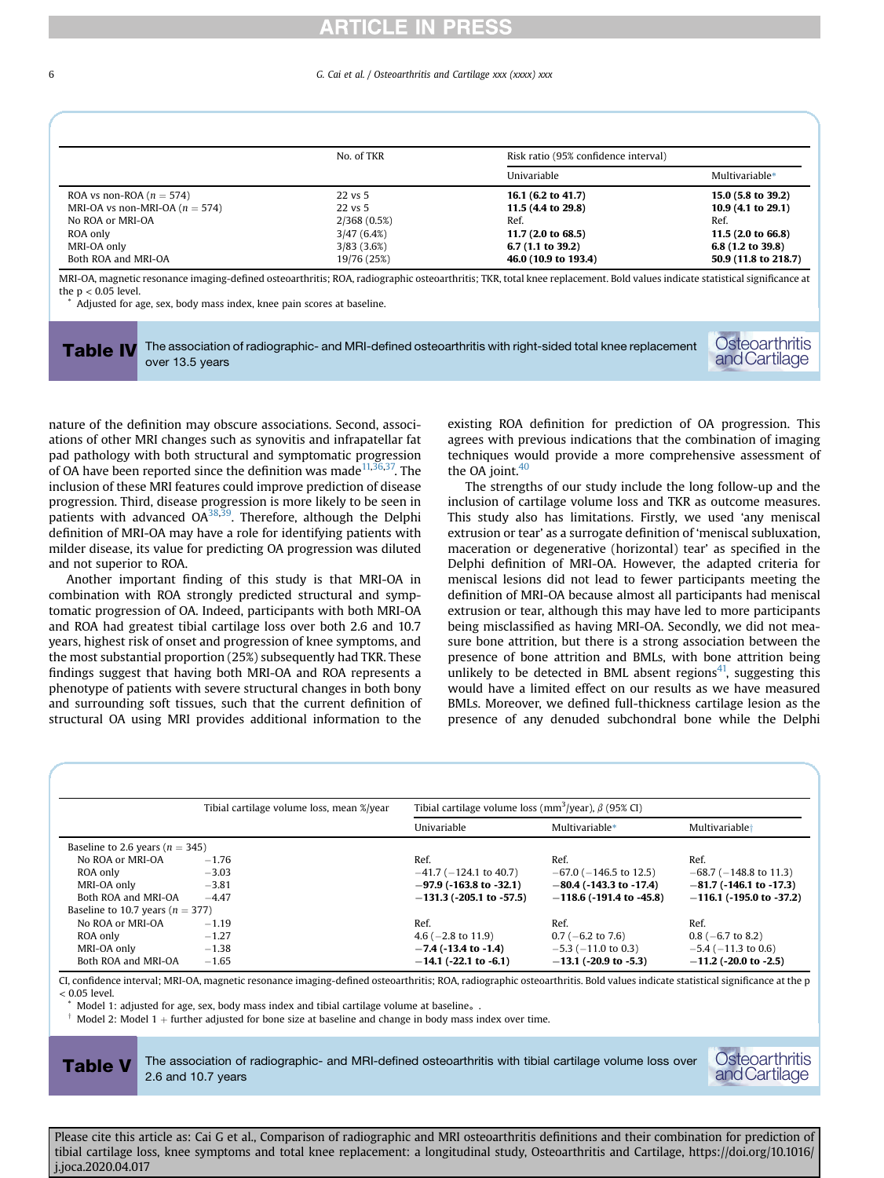#### <span id="page-5-0"></span>6 G. Cai et al. / Osteoarthritis and Cartilage xxx (xxxx) xxx

|                                    | No. of TKR  | Risk ratio (95% confidence interval) |                      |  |
|------------------------------------|-------------|--------------------------------------|----------------------|--|
|                                    |             | Univariable                          | Multivariable*       |  |
| ROA vs non-ROA ( $n = 574$ )       | 22 vs 5     | 16.1 (6.2 to 41.7)                   | 15.0 (5.8 to 39.2)   |  |
| MRI-OA vs non-MRI-OA ( $n = 574$ ) | 22 vs 5     | 11.5 (4.4 to 29.8)                   | 10.9 (4.1 to 29.1)   |  |
| No ROA or MRI-OA                   | 2/368(0.5%) | Ref.                                 | Ref.                 |  |
| ROA only                           | 3/47(6.4%)  | 11.7 (2.0 to 68.5)                   | 11.5 (2.0 to 66.8)   |  |
| MRI-OA only                        | 3/83(3.6%)  | 6.7 $(1.1 \text{ to } 39.2)$         | 6.8 (1.2 to 39.8)    |  |
| Both ROA and MRI-OA                | 19/76 (25%) | 46.0 (10.9 to 193.4)                 | 50.9 (11.8 to 218.7) |  |

MRI-OA, magnetic resonance imaging-defined osteoarthritis; ROA, radiographic osteoarthritis; TKR, total knee replacement. Bold values indicate statistical significance at the  $p < 0.05$  level.

Adjusted for age, sex, body mass index, knee pain scores at baseline.

Table IV The association of radiographic- and MRI-defined osteoarthritis with right-sided total knee replacement over 13.5 years



nature of the definition may obscure associations. Second, associations of other MRI changes such as synovitis and infrapatellar fat pad pathology with both structural and symptomatic progression of OA have been reported since the definition was made  $11,36,37$  $11,36,37$  $11,36,37$ . The inclusion of these MRI features could improve prediction of disease progression. Third, disease progression is more likely to be seen in patients with advanced  $OA^{38,39}$  $OA^{38,39}$  $OA^{38,39}$ . Therefore, although the Delphi definition of MRI-OA may have a role for identifying patients with milder disease, its value for predicting OA progression was diluted and not superior to ROA.

Another important finding of this study is that MRI-OA in combination with ROA strongly predicted structural and symptomatic progression of OA. Indeed, participants with both MRI-OA and ROA had greatest tibial cartilage loss over both 2.6 and 10.7 years, highest risk of onset and progression of knee symptoms, and the most substantial proportion (25%) subsequently had TKR. These findings suggest that having both MRI-OA and ROA represents a phenotype of patients with severe structural changes in both bony and surrounding soft tissues, such that the current definition of structural OA using MRI provides additional information to the existing ROA definition for prediction of OA progression. This agrees with previous indications that the combination of imaging techniques would provide a more comprehensive assessment of the OA joint. $40$ 

The strengths of our study include the long follow-up and the inclusion of cartilage volume loss and TKR as outcome measures. This study also has limitations. Firstly, we used 'any meniscal extrusion or tear' as a surrogate definition of 'meniscal subluxation, maceration or degenerative (horizontal) tear' as specified in the Delphi definition of MRI-OA. However, the adapted criteria for meniscal lesions did not lead to fewer participants meeting the definition of MRI-OA because almost all participants had meniscal extrusion or tear, although this may have led to more participants being misclassified as having MRI-OA. Secondly, we did not measure bone attrition, but there is a strong association between the presence of bone attrition and BMLs, with bone attrition being unlikely to be detected in BML absent regions $41$ , suggesting this would have a limited effect on our results as we have measured BMLs. Moreover, we defined full-thickness cartilage lesion as the presence of any denuded subchondral bone while the Delphi

<span id="page-5-1"></span>

|                                      | Tibial cartilage volume loss, mean %/year | Tibial cartilage volume loss (mm <sup>3</sup> /year), $\beta$ (95% CI) |                             |                             |  |
|--------------------------------------|-------------------------------------------|------------------------------------------------------------------------|-----------------------------|-----------------------------|--|
|                                      |                                           | Univariable                                                            | Multivariable*              | Multivariable <sup>+</sup>  |  |
| Baseline to 2.6 years ( $n = 345$ )  |                                           |                                                                        |                             |                             |  |
| No ROA or MRI-OA                     | $-1.76$                                   | Ref.                                                                   | Ref.                        | Ref.                        |  |
| ROA only                             | $-3.03$                                   | $-41.7$ ( $-124.1$ to 40.7)                                            | $-67.0$ ( $-146.5$ to 12.5) | $-68.7$ ( $-148.8$ to 11.3) |  |
| MRI-OA only                          | $-3.81$                                   | $-97.9$ (-163.8 to -32.1)                                              | $-80.4$ (-143.3 to -17.4)   | $-81.7$ (-146.1 to -17.3)   |  |
| Both ROA and MRI-OA                  | $-4.47$                                   | $-131.3$ (-205.1 to -57.5)                                             | $-118.6$ (-191.4 to -45.8)  | $-116.1$ (-195.0 to -37.2)  |  |
| Baseline to 10.7 years ( $n = 377$ ) |                                           |                                                                        |                             |                             |  |
| No ROA or MRI-OA                     | $-1.19$                                   | Ref.                                                                   | Ref.                        | Ref.                        |  |
| ROA only                             | $-1.27$                                   | 4.6 ( $-2.8$ to 11.9)                                                  | $0.7$ (-6.2 to 7.6)         | $0.8$ (-6.7 to 8.2)         |  |
| MRI-OA only                          | $-1.38$                                   | $-7.4$ (-13.4 to -1.4)                                                 | $-5.3$ ( $-11.0$ to 0.3)    | $-5.4$ ( $-11.3$ to 0.6)    |  |
| Both ROA and MRI-OA                  | $-1.65$                                   | $-14.1$ (-22.1 to -6.1)                                                | $-13.1$ (-20.9 to -5.3)     | $-11.2$ (-20.0 to -2.5)     |  |

CI, confidence interval; MRI-OA, magnetic resonance imaging-defined osteoarthritis; ROA, radiographic osteoarthritis. Bold values indicate statistical significance at the p < 0.05 level.

Model 1: adjusted for age, sex, body mass index and tibial cartilage volume at baseline.

 $\dagger$  Model 2: Model 1 + further adjusted for bone size at baseline and change in body mass index over time.

Table V The association of radiographic- and MRI-defined osteoarthritis with tibial cartilage volume loss over 2.6 and 10.7 years

### **Osteoarthritis** andCartilage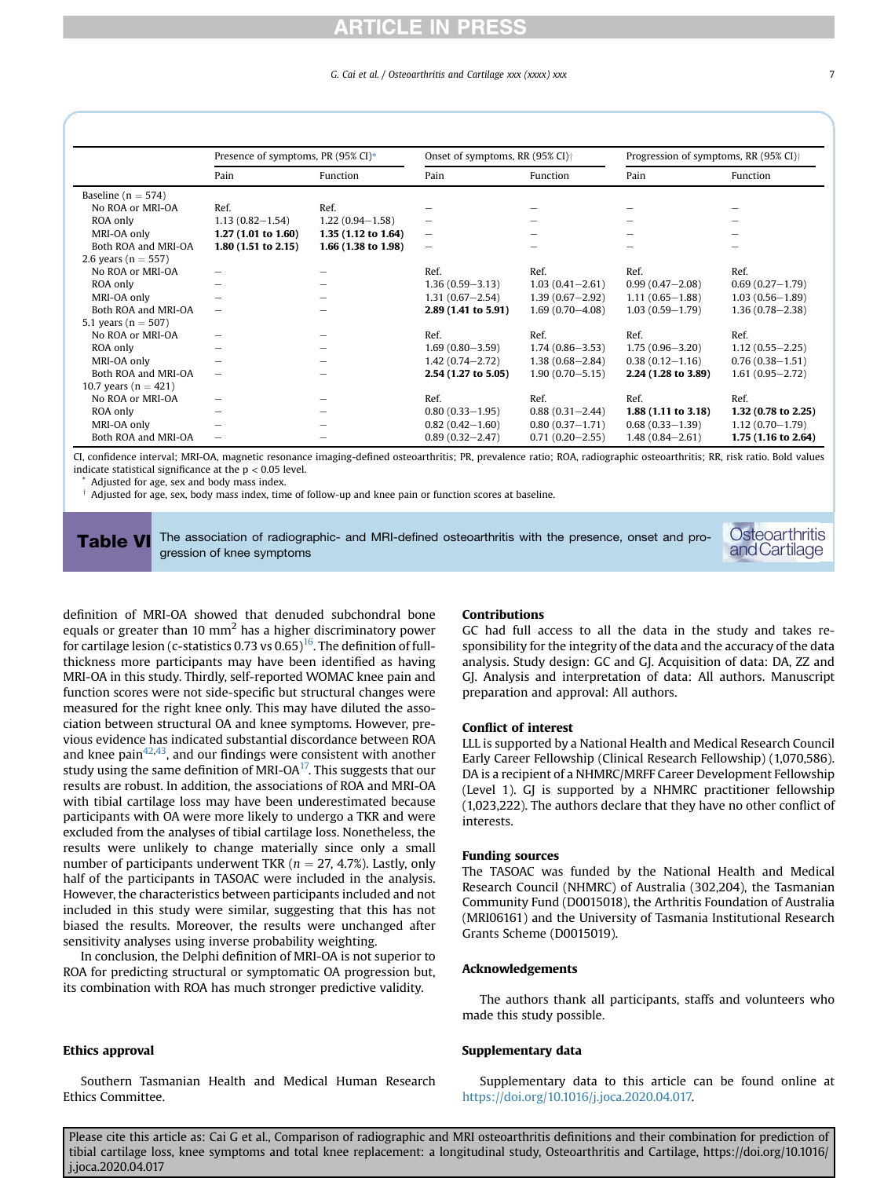#### G. Cai et al. / Osteoarthritis and Cartilage xxx (xxxx) xxx

<span id="page-6-0"></span>

|                          | Presence of symptoms, PR (95% CI)* |                     | Onset of symptoms, RR (95% CI) <sup>+</sup> |                     | Progression of symptoms, RR (95% CI) <sup>+</sup> |                     |
|--------------------------|------------------------------------|---------------------|---------------------------------------------|---------------------|---------------------------------------------------|---------------------|
|                          | Pain                               | Function            | Pain                                        | Function            | Pain                                              | Function            |
| Baseline ( $n = 574$ )   |                                    |                     |                                             |                     |                                                   |                     |
| No ROA or MRI-OA         | Ref.                               | Ref.                |                                             |                     |                                                   |                     |
| ROA only                 | $1.13(0.82 - 1.54)$                | $1.22(0.94 - 1.58)$ |                                             |                     |                                                   |                     |
| MRI-OA only              | 1.27(1.01 to 1.60)                 | 1.35 (1.12 to 1.64) | $\overline{\phantom{0}}$                    |                     |                                                   |                     |
| Both ROA and MRI-OA      | 1.80(1.51 to 2.15)                 | 1.66 (1.38 to 1.98) | -                                           |                     |                                                   |                     |
| 2.6 years ( $n = 557$ )  |                                    |                     |                                             |                     |                                                   |                     |
| No ROA or MRI-OA         | -                                  |                     | Ref.                                        | Ref.                | Ref.                                              | Ref.                |
| ROA only                 | -                                  |                     | $1.36(0.59 - 3.13)$                         | $1.03(0.41 - 2.61)$ | $0.99(0.47 - 2.08)$                               | $0.69(0.27 - 1.79)$ |
| MRI-OA only              |                                    |                     | $1.31(0.67 - 2.54)$                         | $1.39(0.67 - 2.92)$ | $1.11(0.65 - 1.88)$                               | $1.03(0.56 - 1.89)$ |
| Both ROA and MRI-OA      | $\qquad \qquad$                    |                     | 2.89 (1.41 to 5.91)                         | $1.69(0.70 - 4.08)$ | $1.03(0.59 - 1.79)$                               | $1.36(0.78 - 2.38)$ |
| 5.1 years ( $n = 507$ )  |                                    |                     |                                             |                     |                                                   |                     |
| No ROA or MRI-OA         |                                    |                     | Ref.                                        | Ref.                | Ref.                                              | Ref.                |
| ROA only                 |                                    |                     | $1.69(0.80 - 3.59)$                         | $1.74(0.86 - 3.53)$ | $1.75(0.96 - 3.20)$                               | $1.12(0.55 - 2.25)$ |
| MRI-OA only              |                                    |                     | $1.42(0.74 - 2.72)$                         | $1.38(0.68 - 2.84)$ | $0.38(0.12 - 1.16)$                               | $0.76(0.38 - 1.51)$ |
| Both ROA and MRI-OA      | -                                  |                     | 2.54 (1.27 to 5.05)                         | $1.90(0.70 - 5.15)$ | 2.24 (1.28 to 3.89)                               | $1.61(0.95 - 2.72)$ |
| 10.7 years ( $n = 421$ ) |                                    |                     |                                             |                     |                                                   |                     |
| No ROA or MRI-OA         |                                    |                     | Ref.                                        | Ref.                | Ref.                                              | Ref.                |
| ROA only                 |                                    |                     | $0.80(0.33 - 1.95)$                         | $0.88(0.31 - 2.44)$ | 1.88 (1.11 to 3.18)                               | 1.32 (0.78 to 2.25) |
| MRI-OA only              |                                    |                     | $0.82(0.42 - 1.60)$                         | $0.80(0.37 - 1.71)$ | $0.68(0.33 - 1.39)$                               | $1.12(0.70 - 1.79)$ |
| Both ROA and MRI-OA      | -                                  |                     | $0.89(0.32 - 2.47)$                         | $0.71(0.20 - 2.55)$ | $1.48(0.84 - 2.61)$                               | 1.75 (1.16 to 2.64) |

CI, confidence interval; MRI-OA, magnetic resonance imaging-defined osteoarthritis; PR, prevalence ratio; ROA, radiographic osteoarthritis; RR, risk ratio. Bold values indicate statistical significance at the  $p < 0.05$  level.

Adjusted for age, sex and body mass index.

 $\dagger$  Adjusted for age, sex, body mass index, time of follow-up and knee pain or function scores at baseline.

Table VI The association of radiographic- and MRI-defined osteoarthritis with the presence, onset and progression of knee symptoms

**Osteoarthritis** andCartilage

definition of MRI-OA showed that denuded subchondral bone equals or greater than 10  $mm<sup>2</sup>$  has a higher discriminatory power for cartilage lesion (c-statistics 0.73 vs  $0.65$ )<sup>16</sup>. The definition of fullthickness more participants may have been identified as having MRI-OA in this study. Thirdly, self-reported WOMAC knee pain and function scores were not side-specific but structural changes were measured for the right knee only. This may have diluted the association between structural OA and knee symptoms. However, previous evidence has indicated substantial discordance between ROA and knee pain $42,43$  $42,43$ , and our findings were consistent with another study using the same definition of MRI-OA $<sup>17</sup>$ . This suggests that our</sup> results are robust. In addition, the associations of ROA and MRI-OA with tibial cartilage loss may have been underestimated because participants with OA were more likely to undergo a TKR and were excluded from the analyses of tibial cartilage loss. Nonetheless, the results were unlikely to change materially since only a small number of participants underwent TKR ( $n = 27, 4.7\%$ ). Lastly, only half of the participants in TASOAC were included in the analysis. However, the characteristics between participants included and not included in this study were similar, suggesting that this has not biased the results. Moreover, the results were unchanged after sensitivity analyses using inverse probability weighting.

In conclusion, the Delphi definition of MRI-OA is not superior to ROA for predicting structural or symptomatic OA progression but, its combination with ROA has much stronger predictive validity.

### Ethics approval

Southern Tasmanian Health and Medical Human Research Ethics Committee.

#### Contributions

GC had full access to all the data in the study and takes responsibility for the integrity of the data and the accuracy of the data analysis. Study design: GC and GJ. Acquisition of data: DA, ZZ and GJ. Analysis and interpretation of data: All authors. Manuscript preparation and approval: All authors.

#### Conflict of interest

LLL is supported by a National Health and Medical Research Council Early Career Fellowship (Clinical Research Fellowship) (1,070,586). DA is a recipient of a NHMRC/MRFF Career Development Fellowship (Level 1). GJ is supported by a NHMRC practitioner fellowship (1,023,222). The authors declare that they have no other conflict of interests.

#### Funding sources

The TASOAC was funded by the National Health and Medical Research Council (NHMRC) of Australia (302,204), the Tasmanian Community Fund (D0015018), the Arthritis Foundation of Australia (MRI06161) and the University of Tasmania Institutional Research Grants Scheme (D0015019).

#### Acknowledgements

The authors thank all participants, staffs and volunteers who made this study possible.

#### Supplementary data

Supplementary data to this article can be found online at [https://doi.org/10.1016/j.joca.2020.04.017.](https://doi.org/10.1016/j.joca.2020.04.017)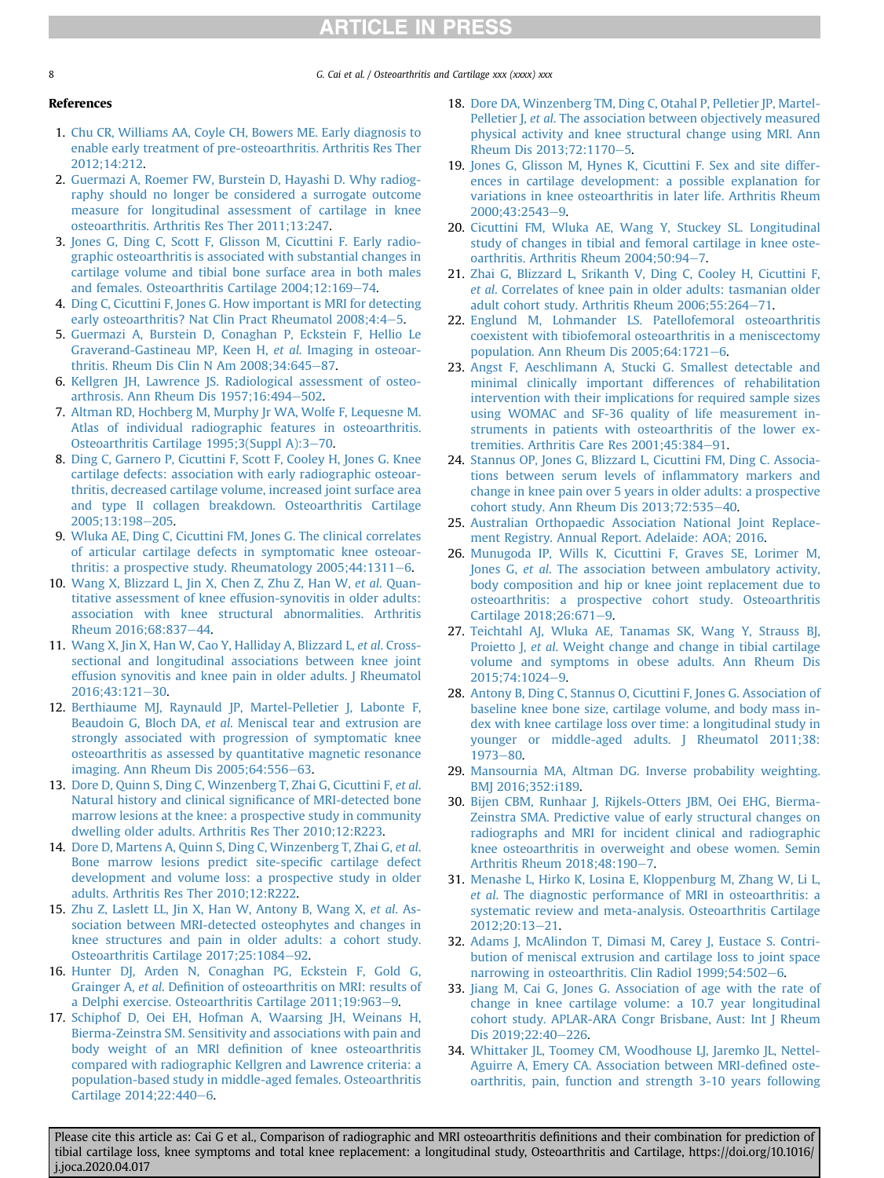8 8 G. Cai et al. / Osteoarthritis and Cartilage xxx (xxxx) xxx

### References

- <span id="page-7-0"></span>1. [Chu CR, Williams AA, Coyle CH, Bowers ME. Early diagnosis to](http://refhub.elsevier.com/S1063-4584(20)31002-5/sref1) [enable early treatment of pre-osteoarthritis. Arthritis Res Ther](http://refhub.elsevier.com/S1063-4584(20)31002-5/sref1) [2012;14:212](http://refhub.elsevier.com/S1063-4584(20)31002-5/sref1).
- <span id="page-7-1"></span>2. [Guermazi A, Roemer FW, Burstein D, Hayashi D. Why radiog](http://refhub.elsevier.com/S1063-4584(20)31002-5/sref2)[raphy should no longer be considered a surrogate outcome](http://refhub.elsevier.com/S1063-4584(20)31002-5/sref2) [measure for longitudinal assessment of cartilage in knee](http://refhub.elsevier.com/S1063-4584(20)31002-5/sref2) [osteoarthritis. Arthritis Res Ther 2011;13:247.](http://refhub.elsevier.com/S1063-4584(20)31002-5/sref2)
- <span id="page-7-2"></span>3. [Jones G, Ding C, Scott F, Glisson M, Cicuttini F. Early radio](http://refhub.elsevier.com/S1063-4584(20)31002-5/sref3)[graphic osteoarthritis is associated with substantial changes in](http://refhub.elsevier.com/S1063-4584(20)31002-5/sref3) [cartilage volume and tibial bone surface area in both males](http://refhub.elsevier.com/S1063-4584(20)31002-5/sref3) [and females. Osteoarthritis Cartilage 2004;12:169](http://refhub.elsevier.com/S1063-4584(20)31002-5/sref3)-[74.](http://refhub.elsevier.com/S1063-4584(20)31002-5/sref3)
- <span id="page-7-3"></span>4. [Ding C, Cicuttini F, Jones G. How important is MRI for detecting](http://refhub.elsevier.com/S1063-4584(20)31002-5/sref4) [early osteoarthritis? Nat Clin Pract Rheumatol 2008;4:4](http://refhub.elsevier.com/S1063-4584(20)31002-5/sref4)-[5.](http://refhub.elsevier.com/S1063-4584(20)31002-5/sref4)
- <span id="page-7-4"></span>5. [Guermazi A, Burstein D, Conaghan P, Eckstein F, Hellio Le](http://refhub.elsevier.com/S1063-4584(20)31002-5/sref5) [Graverand-Gastineau MP, Keen H,](http://refhub.elsevier.com/S1063-4584(20)31002-5/sref5) et al. Imaging in osteoarthritis. Rheum Dis Clin N Am  $2008;34:645-87$ .
- <span id="page-7-5"></span>6. [Kellgren JH, Lawrence JS. Radiological assessment of osteo](http://refhub.elsevier.com/S1063-4584(20)31002-5/sref6)[arthrosis. Ann Rheum Dis 1957;16:494](http://refhub.elsevier.com/S1063-4584(20)31002-5/sref6)-[502](http://refhub.elsevier.com/S1063-4584(20)31002-5/sref6).
- <span id="page-7-6"></span>7. [Altman RD, Hochberg M, Murphy Jr WA, Wolfe F, Lequesne M.](http://refhub.elsevier.com/S1063-4584(20)31002-5/sref7) [Atlas of individual radiographic features in osteoarthritis.](http://refhub.elsevier.com/S1063-4584(20)31002-5/sref7) [Osteoarthritis Cartilage 1995;3\(Suppl A\):3](http://refhub.elsevier.com/S1063-4584(20)31002-5/sref7)-[70](http://refhub.elsevier.com/S1063-4584(20)31002-5/sref7).
- <span id="page-7-7"></span>8. [Ding C, Garnero P, Cicuttini F, Scott F, Cooley H, Jones G. Knee](http://refhub.elsevier.com/S1063-4584(20)31002-5/sref8) [cartilage defects: association with early radiographic osteoar](http://refhub.elsevier.com/S1063-4584(20)31002-5/sref8)[thritis, decreased cartilage volume, increased joint surface area](http://refhub.elsevier.com/S1063-4584(20)31002-5/sref8) [and type II collagen breakdown. Osteoarthritis Cartilage](http://refhub.elsevier.com/S1063-4584(20)31002-5/sref8) [2005;13:198](http://refhub.elsevier.com/S1063-4584(20)31002-5/sref8)-[205.](http://refhub.elsevier.com/S1063-4584(20)31002-5/sref8)
- <span id="page-7-8"></span>9. [Wluka AE, Ding C, Cicuttini FM, Jones G. The clinical correlates](http://refhub.elsevier.com/S1063-4584(20)31002-5/sref9) [of articular cartilage defects in symptomatic knee osteoar](http://refhub.elsevier.com/S1063-4584(20)31002-5/sref9)thritis: a prospective study. Rheumatology  $2005;44:1311-6$  $2005;44:1311-6$ .
- <span id="page-7-9"></span>10. [Wang X, Blizzard L, Jin X, Chen Z, Zhu Z, Han W,](http://refhub.elsevier.com/S1063-4584(20)31002-5/sref10) et al. Quan[titative assessment of knee effusion-synovitis in older adults:](http://refhub.elsevier.com/S1063-4584(20)31002-5/sref10) [association with knee structural abnormalities. Arthritis](http://refhub.elsevier.com/S1063-4584(20)31002-5/sref10) [Rheum 2016;68:837](http://refhub.elsevier.com/S1063-4584(20)31002-5/sref10)-[44.](http://refhub.elsevier.com/S1063-4584(20)31002-5/sref10)
- <span id="page-7-10"></span>11. [Wang X, Jin X, Han W, Cao Y, Halliday A, Blizzard L,](http://refhub.elsevier.com/S1063-4584(20)31002-5/sref11) et al. Cross[sectional and longitudinal associations between knee joint](http://refhub.elsevier.com/S1063-4584(20)31002-5/sref11) [effusion synovitis and knee pain in older adults. J Rheumatol](http://refhub.elsevier.com/S1063-4584(20)31002-5/sref11)  $2016;43:121-30.$  $2016;43:121-30.$  $2016;43:121-30.$  $2016;43:121-30.$
- <span id="page-7-11"></span>12. [Berthiaume MJ, Raynauld JP, Martel-Pelletier J, Labonte F,](http://refhub.elsevier.com/S1063-4584(20)31002-5/sref12) Beaudoin G, Bloch DA, et al[. Meniscal tear and extrusion are](http://refhub.elsevier.com/S1063-4584(20)31002-5/sref12) [strongly associated with progression of symptomatic knee](http://refhub.elsevier.com/S1063-4584(20)31002-5/sref12) [osteoarthritis as assessed by quantitative magnetic resonance](http://refhub.elsevier.com/S1063-4584(20)31002-5/sref12) [imaging. Ann Rheum Dis 2005;64:556](http://refhub.elsevier.com/S1063-4584(20)31002-5/sref12)-[63](http://refhub.elsevier.com/S1063-4584(20)31002-5/sref12).
- <span id="page-7-12"></span>13. [Dore D, Quinn S, Ding C, Winzenberg T, Zhai G, Cicuttini F,](http://refhub.elsevier.com/S1063-4584(20)31002-5/sref13) et al. [Natural history and clinical signi](http://refhub.elsevier.com/S1063-4584(20)31002-5/sref13)ficance of MRI-detected bone [marrow lesions at the knee: a prospective study in community](http://refhub.elsevier.com/S1063-4584(20)31002-5/sref13) [dwelling older adults. Arthritis Res Ther 2010;12:R223.](http://refhub.elsevier.com/S1063-4584(20)31002-5/sref13)
- <span id="page-7-13"></span>14. [Dore D, Martens A, Quinn S, Ding C, Winzenberg T, Zhai G,](http://refhub.elsevier.com/S1063-4584(20)31002-5/sref14) et al. [Bone marrow lesions predict site-speci](http://refhub.elsevier.com/S1063-4584(20)31002-5/sref14)fic cartilage defect [development and volume loss: a prospective study in older](http://refhub.elsevier.com/S1063-4584(20)31002-5/sref14) [adults. Arthritis Res Ther 2010;12:R222.](http://refhub.elsevier.com/S1063-4584(20)31002-5/sref14)
- <span id="page-7-14"></span>15. [Zhu Z, Laslett LL, Jin X, Han W, Antony B, Wang X,](http://refhub.elsevier.com/S1063-4584(20)31002-5/sref15) et al. As[sociation between MRI-detected osteophytes and changes in](http://refhub.elsevier.com/S1063-4584(20)31002-5/sref15) [knee structures and pain in older adults: a cohort study.](http://refhub.elsevier.com/S1063-4584(20)31002-5/sref15) [Osteoarthritis Cartilage 2017;25:1084](http://refhub.elsevier.com/S1063-4584(20)31002-5/sref15)-[92.](http://refhub.elsevier.com/S1063-4584(20)31002-5/sref15)
- <span id="page-7-15"></span>16. [Hunter DJ, Arden N, Conaghan PG, Eckstein F, Gold G,](http://refhub.elsevier.com/S1063-4584(20)31002-5/sref16) Grainger A, et al. Defi[nition of osteoarthritis on MRI: results of](http://refhub.elsevier.com/S1063-4584(20)31002-5/sref16) [a Delphi exercise. Osteoarthritis Cartilage 2011;19:963](http://refhub.elsevier.com/S1063-4584(20)31002-5/sref16)-[9](http://refhub.elsevier.com/S1063-4584(20)31002-5/sref16).
- <span id="page-7-16"></span>17. [Schiphof D, Oei EH, Hofman A, Waarsing JH, Weinans H,](http://refhub.elsevier.com/S1063-4584(20)31002-5/sref17) [Bierma-Zeinstra SM. Sensitivity and associations with pain and](http://refhub.elsevier.com/S1063-4584(20)31002-5/sref17) body weight of an MRI defi[nition of knee osteoarthritis](http://refhub.elsevier.com/S1063-4584(20)31002-5/sref17) [compared with radiographic Kellgren and Lawrence criteria: a](http://refhub.elsevier.com/S1063-4584(20)31002-5/sref17) [population-based study in middle-aged females. Osteoarthritis](http://refhub.elsevier.com/S1063-4584(20)31002-5/sref17) [Cartilage 2014;22:440](http://refhub.elsevier.com/S1063-4584(20)31002-5/sref17)-[6.](http://refhub.elsevier.com/S1063-4584(20)31002-5/sref17)
- <span id="page-7-17"></span>18. [Dore DA, Winzenberg TM, Ding C, Otahal P, Pelletier JP, Martel-](http://refhub.elsevier.com/S1063-4584(20)31002-5/sref18)Pelletier J, et al[. The association between objectively measured](http://refhub.elsevier.com/S1063-4584(20)31002-5/sref18) [physical activity and knee structural change using MRI. Ann](http://refhub.elsevier.com/S1063-4584(20)31002-5/sref18) [Rheum Dis 2013;72:1170](http://refhub.elsevier.com/S1063-4584(20)31002-5/sref18)-[5.](http://refhub.elsevier.com/S1063-4584(20)31002-5/sref18)
- <span id="page-7-18"></span>19. [Jones G, Glisson M, Hynes K, Cicuttini F. Sex and site differ](http://refhub.elsevier.com/S1063-4584(20)31002-5/sref19)[ences in cartilage development: a possible explanation for](http://refhub.elsevier.com/S1063-4584(20)31002-5/sref19) [variations in knee osteoarthritis in later life. Arthritis Rheum](http://refhub.elsevier.com/S1063-4584(20)31002-5/sref19) 2000:43:2543-[9](http://refhub.elsevier.com/S1063-4584(20)31002-5/sref19).
- <span id="page-7-19"></span>20. [Cicuttini FM, Wluka AE, Wang Y, Stuckey SL. Longitudinal](http://refhub.elsevier.com/S1063-4584(20)31002-5/sref20) [study of changes in tibial and femoral cartilage in knee oste](http://refhub.elsevier.com/S1063-4584(20)31002-5/sref20)[oarthritis. Arthritis Rheum 2004;50:94](http://refhub.elsevier.com/S1063-4584(20)31002-5/sref20)-[7.](http://refhub.elsevier.com/S1063-4584(20)31002-5/sref20)
- <span id="page-7-20"></span>21. [Zhai G, Blizzard L, Srikanth V, Ding C, Cooley H, Cicuttini F,](http://refhub.elsevier.com/S1063-4584(20)31002-5/sref21) et al[. Correlates of knee pain in older adults: tasmanian older](http://refhub.elsevier.com/S1063-4584(20)31002-5/sref21) [adult cohort study. Arthritis Rheum 2006;55:264](http://refhub.elsevier.com/S1063-4584(20)31002-5/sref21)-[71](http://refhub.elsevier.com/S1063-4584(20)31002-5/sref21).
- <span id="page-7-21"></span>22. [Englund M, Lohmander LS. Patellofemoral osteoarthritis](http://refhub.elsevier.com/S1063-4584(20)31002-5/sref22) [coexistent with tibiofemoral osteoarthritis in a meniscectomy](http://refhub.elsevier.com/S1063-4584(20)31002-5/sref22) population. Ann Rheum Dis  $2005;64:1721-6$ .
- <span id="page-7-22"></span>23. [Angst F, Aeschlimann A, Stucki G. Smallest detectable and](http://refhub.elsevier.com/S1063-4584(20)31002-5/sref23) [minimal clinically important differences of rehabilitation](http://refhub.elsevier.com/S1063-4584(20)31002-5/sref23) [intervention with their implications for required sample sizes](http://refhub.elsevier.com/S1063-4584(20)31002-5/sref23) [using WOMAC and SF-36 quality of life measurement in](http://refhub.elsevier.com/S1063-4584(20)31002-5/sref23)[struments in patients with osteoarthritis of the lower ex](http://refhub.elsevier.com/S1063-4584(20)31002-5/sref23)[tremities. Arthritis Care Res 2001;45:384](http://refhub.elsevier.com/S1063-4584(20)31002-5/sref23)-[91.](http://refhub.elsevier.com/S1063-4584(20)31002-5/sref23)
- <span id="page-7-23"></span>24. [Stannus OP, Jones G, Blizzard L, Cicuttini FM, Ding C. Associa](http://refhub.elsevier.com/S1063-4584(20)31002-5/sref24)[tions between serum levels of in](http://refhub.elsevier.com/S1063-4584(20)31002-5/sref24)flammatory markers and [change in knee pain over 5 years in older adults: a prospective](http://refhub.elsevier.com/S1063-4584(20)31002-5/sref24) [cohort study. Ann Rheum Dis 2013;72:535](http://refhub.elsevier.com/S1063-4584(20)31002-5/sref24)-[40.](http://refhub.elsevier.com/S1063-4584(20)31002-5/sref24)
- <span id="page-7-24"></span>25. [Australian Orthopaedic Association National Joint Replace](http://refhub.elsevier.com/S1063-4584(20)31002-5/sref25)[ment Registry. Annual Report. Adelaide: AOA; 2016.](http://refhub.elsevier.com/S1063-4584(20)31002-5/sref25)
- <span id="page-7-25"></span>26. [Munugoda IP, Wills K, Cicuttini F, Graves SE, Lorimer M,](http://refhub.elsevier.com/S1063-4584(20)31002-5/sref26) Jones G, et al[. The association between ambulatory activity,](http://refhub.elsevier.com/S1063-4584(20)31002-5/sref26) [body composition and hip or knee joint replacement due to](http://refhub.elsevier.com/S1063-4584(20)31002-5/sref26) [osteoarthritis: a prospective cohort study. Osteoarthritis](http://refhub.elsevier.com/S1063-4584(20)31002-5/sref26) [Cartilage 2018;26:671](http://refhub.elsevier.com/S1063-4584(20)31002-5/sref26)-[9.](http://refhub.elsevier.com/S1063-4584(20)31002-5/sref26)
- <span id="page-7-26"></span>27. [Teichtahl AJ, Wluka AE, Tanamas SK, Wang Y, Strauss BJ,](http://refhub.elsevier.com/S1063-4584(20)31002-5/sref27) Proietto J, et al[. Weight change and change in tibial cartilage](http://refhub.elsevier.com/S1063-4584(20)31002-5/sref27) [volume and symptoms in obese adults. Ann Rheum Dis](http://refhub.elsevier.com/S1063-4584(20)31002-5/sref27) [2015;74:1024](http://refhub.elsevier.com/S1063-4584(20)31002-5/sref27)-[9](http://refhub.elsevier.com/S1063-4584(20)31002-5/sref27).
- <span id="page-7-27"></span>28. [Antony B, Ding C, Stannus O, Cicuttini F, Jones G. Association of](http://refhub.elsevier.com/S1063-4584(20)31002-5/sref28) [baseline knee bone size, cartilage volume, and body mass in](http://refhub.elsevier.com/S1063-4584(20)31002-5/sref28)[dex with knee cartilage loss over time: a longitudinal study in](http://refhub.elsevier.com/S1063-4584(20)31002-5/sref28) [younger or middle-aged adults. J Rheumatol 2011;38:](http://refhub.elsevier.com/S1063-4584(20)31002-5/sref28) [1973](http://refhub.elsevier.com/S1063-4584(20)31002-5/sref28)-[80.](http://refhub.elsevier.com/S1063-4584(20)31002-5/sref28)
- <span id="page-7-28"></span>29. [Mansournia MA, Altman DG. Inverse probability weighting.](http://refhub.elsevier.com/S1063-4584(20)31002-5/sref29) [BMJ 2016;352:i189.](http://refhub.elsevier.com/S1063-4584(20)31002-5/sref29)
- <span id="page-7-29"></span>30. [Bijen CBM, Runhaar J, Rijkels-Otters JBM, Oei EHG, Bierma-](http://refhub.elsevier.com/S1063-4584(20)31002-5/sref30)[Zeinstra SMA. Predictive value of early structural changes on](http://refhub.elsevier.com/S1063-4584(20)31002-5/sref30) [radiographs and MRI for incident clinical and radiographic](http://refhub.elsevier.com/S1063-4584(20)31002-5/sref30) [knee osteoarthritis in overweight and obese women. Semin](http://refhub.elsevier.com/S1063-4584(20)31002-5/sref30) [Arthritis Rheum 2018;48:190](http://refhub.elsevier.com/S1063-4584(20)31002-5/sref30)-[7.](http://refhub.elsevier.com/S1063-4584(20)31002-5/sref30)
- <span id="page-7-30"></span>31. [Menashe L, Hirko K, Losina E, Kloppenburg M, Zhang W, Li L,](http://refhub.elsevier.com/S1063-4584(20)31002-5/sref31) et al[. The diagnostic performance of MRI in osteoarthritis: a](http://refhub.elsevier.com/S1063-4584(20)31002-5/sref31) [systematic review and meta-analysis. Osteoarthritis Cartilage](http://refhub.elsevier.com/S1063-4584(20)31002-5/sref31) [2012;20:13](http://refhub.elsevier.com/S1063-4584(20)31002-5/sref31)-[21](http://refhub.elsevier.com/S1063-4584(20)31002-5/sref31).
- <span id="page-7-31"></span>32. [Adams J, McAlindon T, Dimasi M, Carey J, Eustace S. Contri](http://refhub.elsevier.com/S1063-4584(20)31002-5/sref32)[bution of meniscal extrusion and cartilage loss to joint space](http://refhub.elsevier.com/S1063-4584(20)31002-5/sref32) [narrowing in osteoarthritis. Clin Radiol 1999;54:502](http://refhub.elsevier.com/S1063-4584(20)31002-5/sref32)-[6](http://refhub.elsevier.com/S1063-4584(20)31002-5/sref32).
- <span id="page-7-32"></span>33. [Jiang M, Cai G, Jones G. Association of age with the rate of](http://refhub.elsevier.com/S1063-4584(20)31002-5/sref33) [change in knee cartilage volume: a 10.7 year longitudinal](http://refhub.elsevier.com/S1063-4584(20)31002-5/sref33) [cohort study. APLAR-ARA Congr Brisbane, Aust: Int J Rheum](http://refhub.elsevier.com/S1063-4584(20)31002-5/sref33) [Dis 2019;22:40](http://refhub.elsevier.com/S1063-4584(20)31002-5/sref33)-[226.](http://refhub.elsevier.com/S1063-4584(20)31002-5/sref33)
- <span id="page-7-33"></span>34. [Whittaker JL, Toomey CM, Woodhouse LJ, Jaremko JL, Nettel-](http://refhub.elsevier.com/S1063-4584(20)31002-5/sref34)[Aguirre A, Emery CA. Association between MRI-de](http://refhub.elsevier.com/S1063-4584(20)31002-5/sref34)fined oste[oarthritis, pain, function and strength 3-10 years following](http://refhub.elsevier.com/S1063-4584(20)31002-5/sref34)